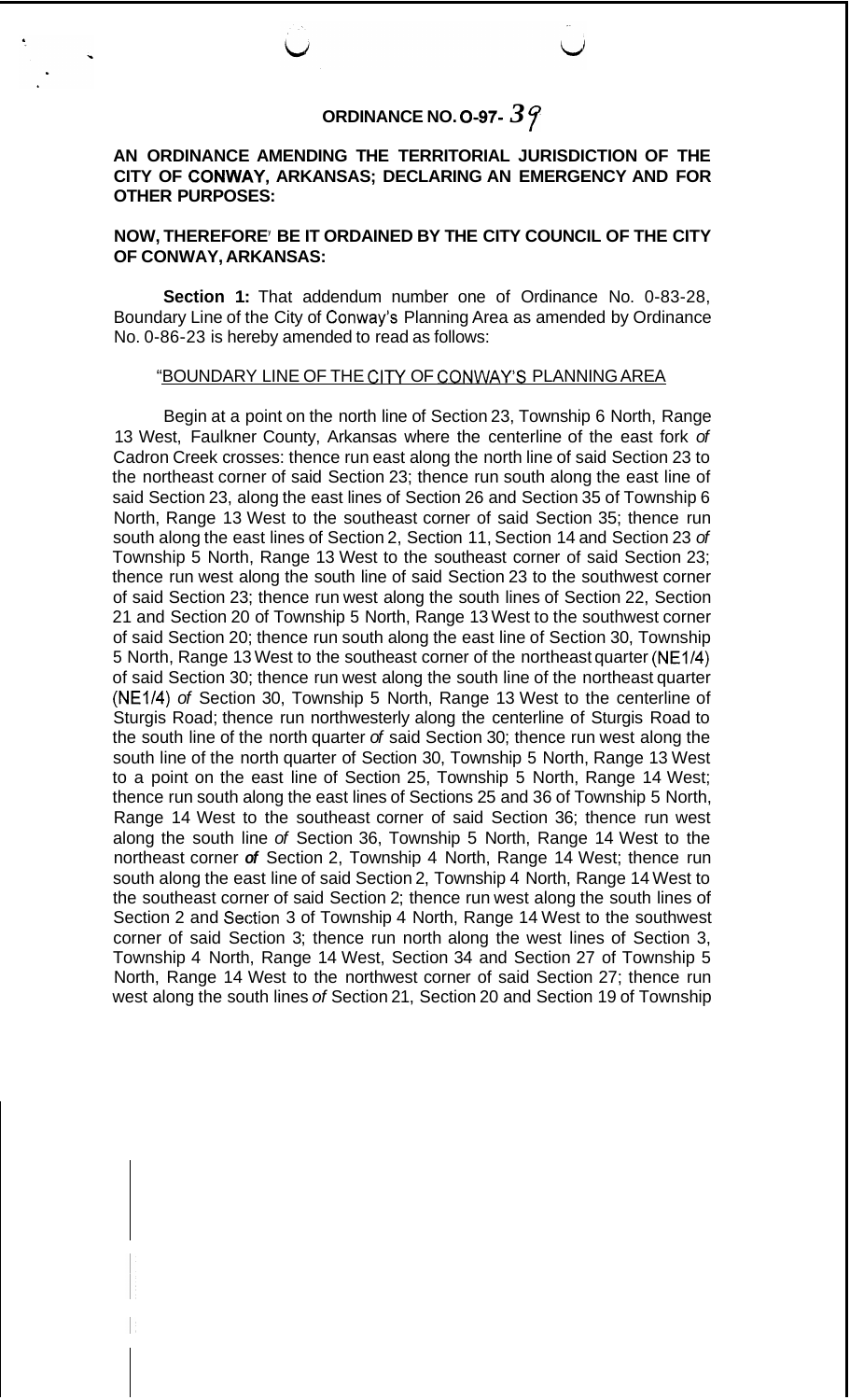## **ORDINANCE NO. 0-97-** *3* 7

## **AN ORDINANCE AMENDING THE TERRITORIAL JURISDICTION OF THE CITY OF CONWAY, ARKANSAS; DECLARING AN EMERGENCY AND FOR OTHER PURPOSES:**

## **NOW, THEREFOREy BE IT ORDAINED BY THE CITY COUNCIL OF THE CITY OF CONWAY, ARKANSAS:**

**Section 1:** That addendum number one of Ordinance No. 0-83-28, Boundary Line of the City of Conway's Planning Area as amended by Ordinance No. 0-86-23 is hereby amended to read as follows:

## "BOUNDARY LINE OF THE CITY OF CONWAY'S PLANNING AREA

Begin at a point on the north line of Section 23, Township 6 North, Range 13 West, Faulkner County, Arkansas where the centerline of the east fork *of*  Cadron Creek crosses: thence run east along the north line of said Section 23 to the northeast corner of said Section 23; thence run south along the east line of said Section 23, along the east lines of Section 26 and Section 35 of Township 6 North, Range 13 West to the southeast corner of said Section 35; thence run south along the east lines of Section 2, Section 11, Section 14 and Section 23 *of*  Township 5 North, Range 13 West to the southeast corner of said Section 23; thence run west along the south line of said Section 23 to the southwest corner of said Section 23; thence run west along the south lines of Section 22, Section 21 and Section 20 of Township 5 North, Range 13 West to the southwest corner of said Section 20; thence run south along the east line of Section 30, Township 5 North, Range 13 West to the southeast corner of the northeast quarter (NE1/4) of said Section 30; thence run west along the south line of the northeast quarter (NE1/4) *of* Section 30, Township 5 North, Range 13 West to the centerline of Sturgis Road; thence run northwesterly along the centerline of Sturgis Road to the south line of the north quarter *of* said Section 30; thence run west along the south line of the north quarter of Section 30, Township 5 North, Range 13 West to a point on the east line of Section 25, Township 5 North, Range 14 West; thence run south along the east lines of Sections 25 and 36 of Township 5 North, Range 14 West to the southeast corner of said Section 36; thence run west along the south line *of* Section 36, Township 5 North, Range 14 West to the northeast corner *of* Section 2, Township 4 North, Range 14 West; thence run south along the east line of said Section 2, Township 4 North, Range 14 West to the southeast corner of said Section 2; thence run west along the south lines of Section 2 and Section 3 of Township 4 North, Range 14 West to the southwest corner of said Section 3; thence run north along the west lines of Section 3, Township 4 North, Range 14 West, Section 34 and Section 27 of Township 5 North, Range 14 West to the northwest corner of said Section 27; thence run west along the south lines *of* Section 21, Section 20 and Section 19 of Township